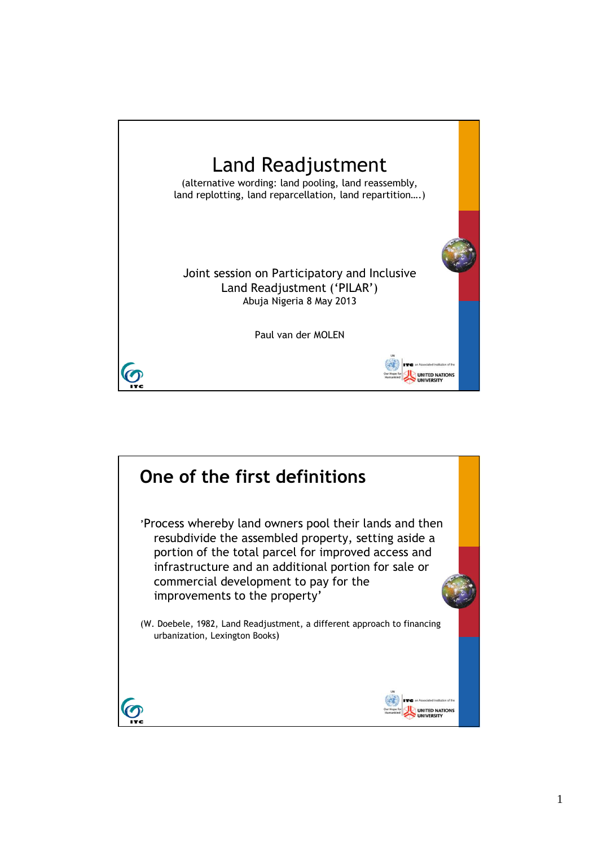

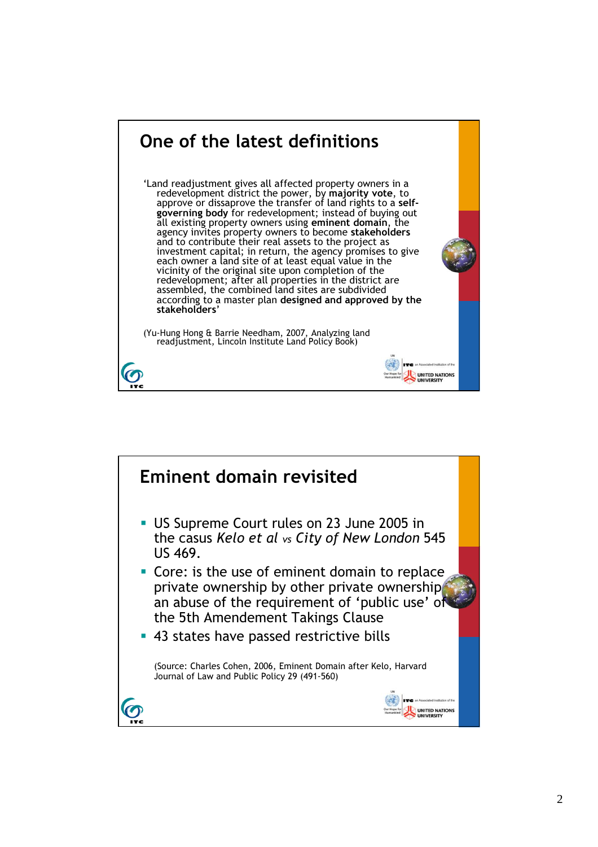

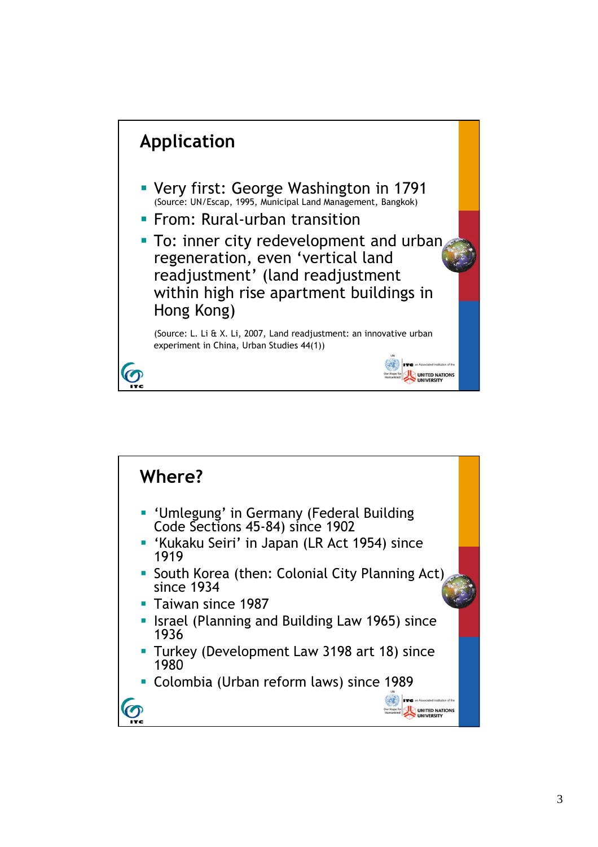

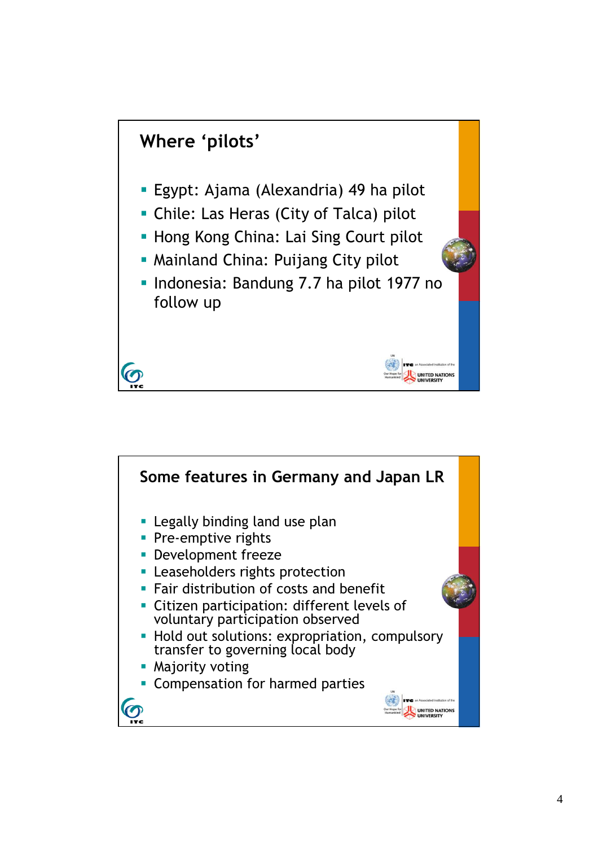

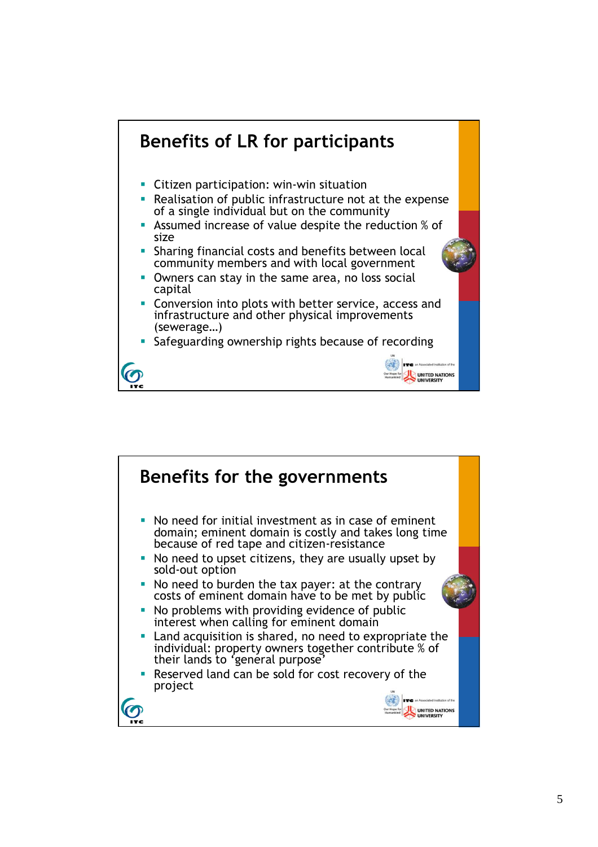

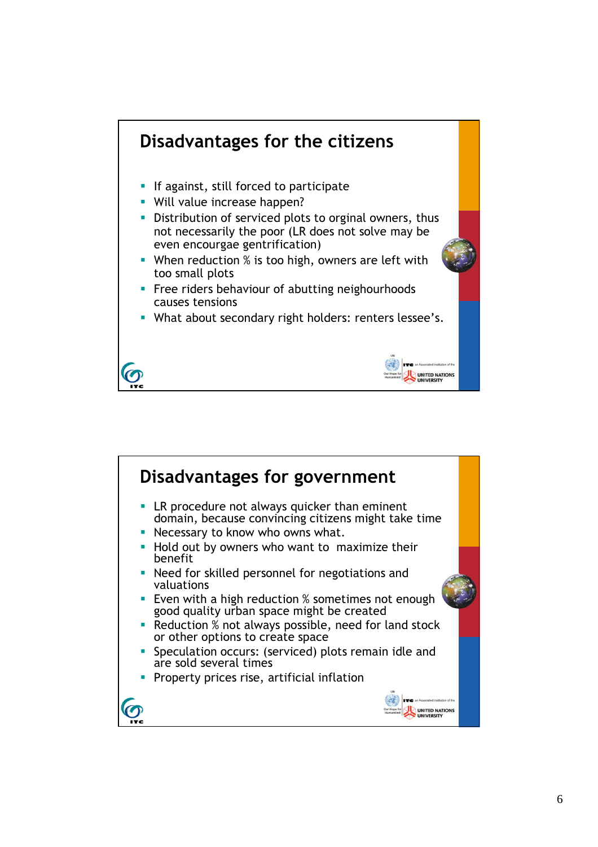

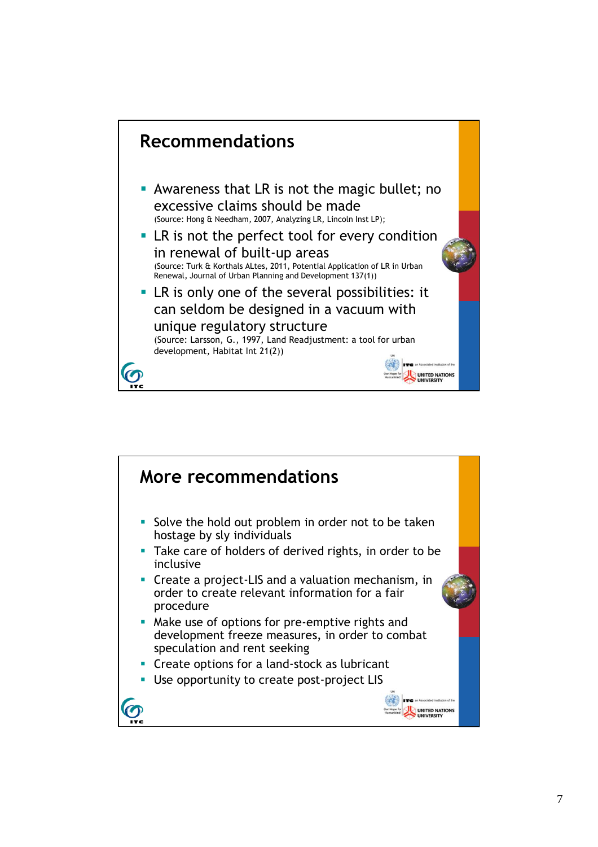

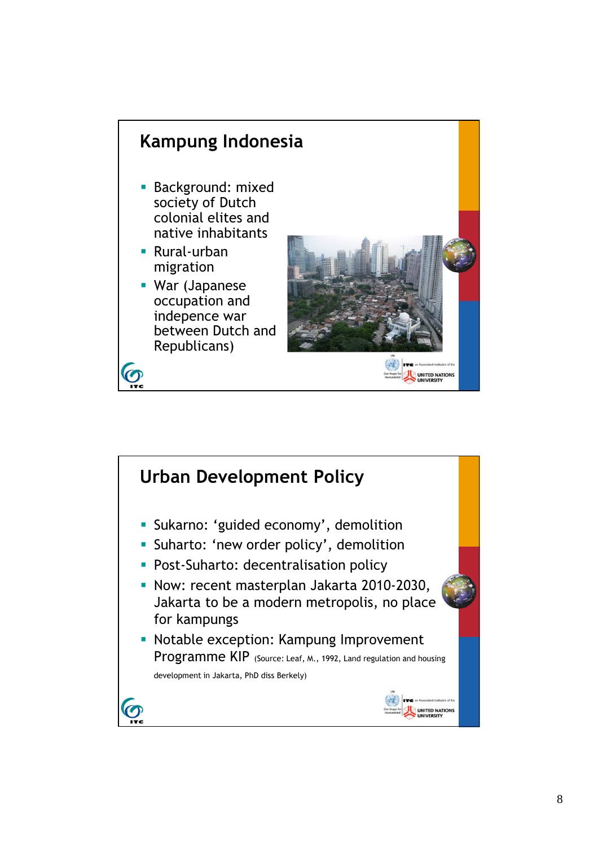

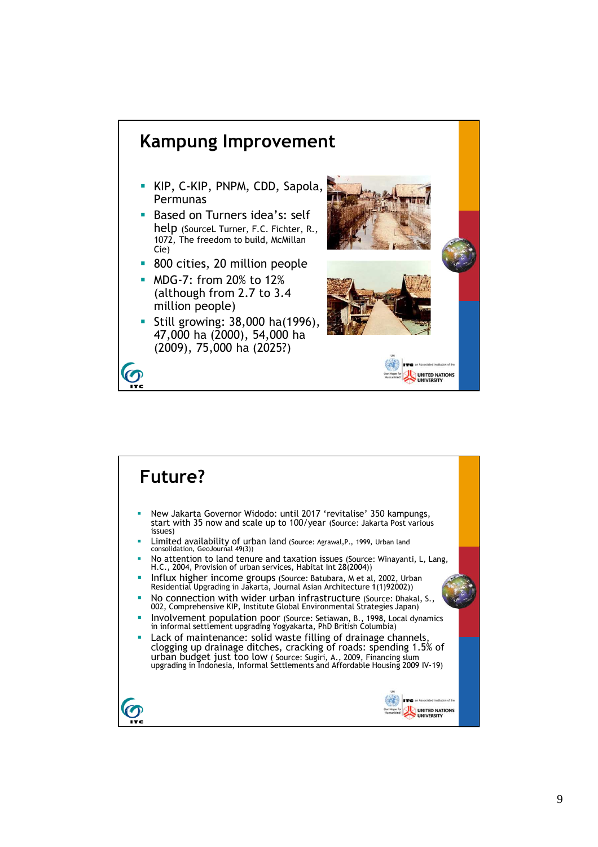